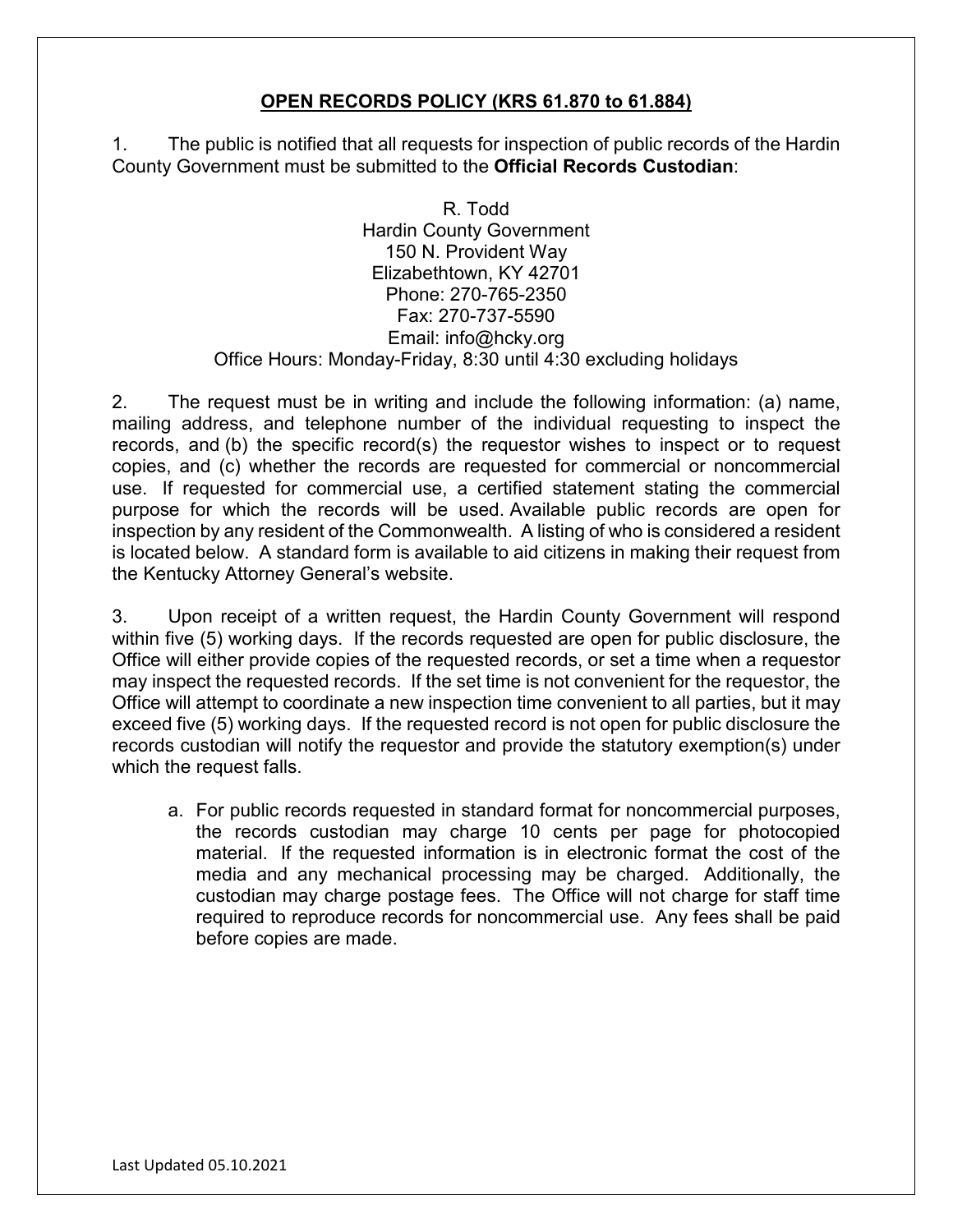## **OPEN RECORDS POLICY (KRS 61.870 to 61.884)**

1. The public is notified that all requests for inspection of public records of the Hardin County Government must be submitted to the **Official Records Custodian**:

> R. Todd Hardin County Government 150 N. Provident Way Elizabethtown, KY 42701 Phone: 270-765-2350 Fax: 270-737-5590 Email: info@hcky.org Office Hours: Monday-Friday, 8:30 until 4:30 excluding holidays

2. The request must be in writing and include the following information: (a) name, mailing address, and telephone number of the individual requesting to inspect the records, and (b) the specific record(s) the requestor wishes to inspect or to request copies, and (c) whether the records are requested for commercial or noncommercial use. If requested for commercial use, a certified statement stating the commercial purpose for which the records will be used. Available public records are open for inspection by any resident of the Commonwealth. A listing of who is considered a resident is located below. A standard form is available to aid citizens in making their request from the Kentucky Attorney General's website.

3. Upon receipt of a written request, the Hardin County Government will respond within five (5) working days. If the records requested are open for public disclosure, the Office will either provide copies of the requested records, or set a time when a requestor may inspect the requested records. If the set time is not convenient for the requestor, the Office will attempt to coordinate a new inspection time convenient to all parties, but it may exceed five (5) working days. If the requested record is not open for public disclosure the records custodian will notify the requestor and provide the statutory exemption(s) under which the request falls.

a. For public records requested in standard format for noncommercial purposes, the records custodian may charge 10 cents per page for photocopied material. If the requested information is in electronic format the cost of the media and any mechanical processing may be charged. Additionally, the custodian may charge postage fees. The Office will not charge for staff time required to reproduce records for noncommercial use. Any fees shall be paid before copies are made.